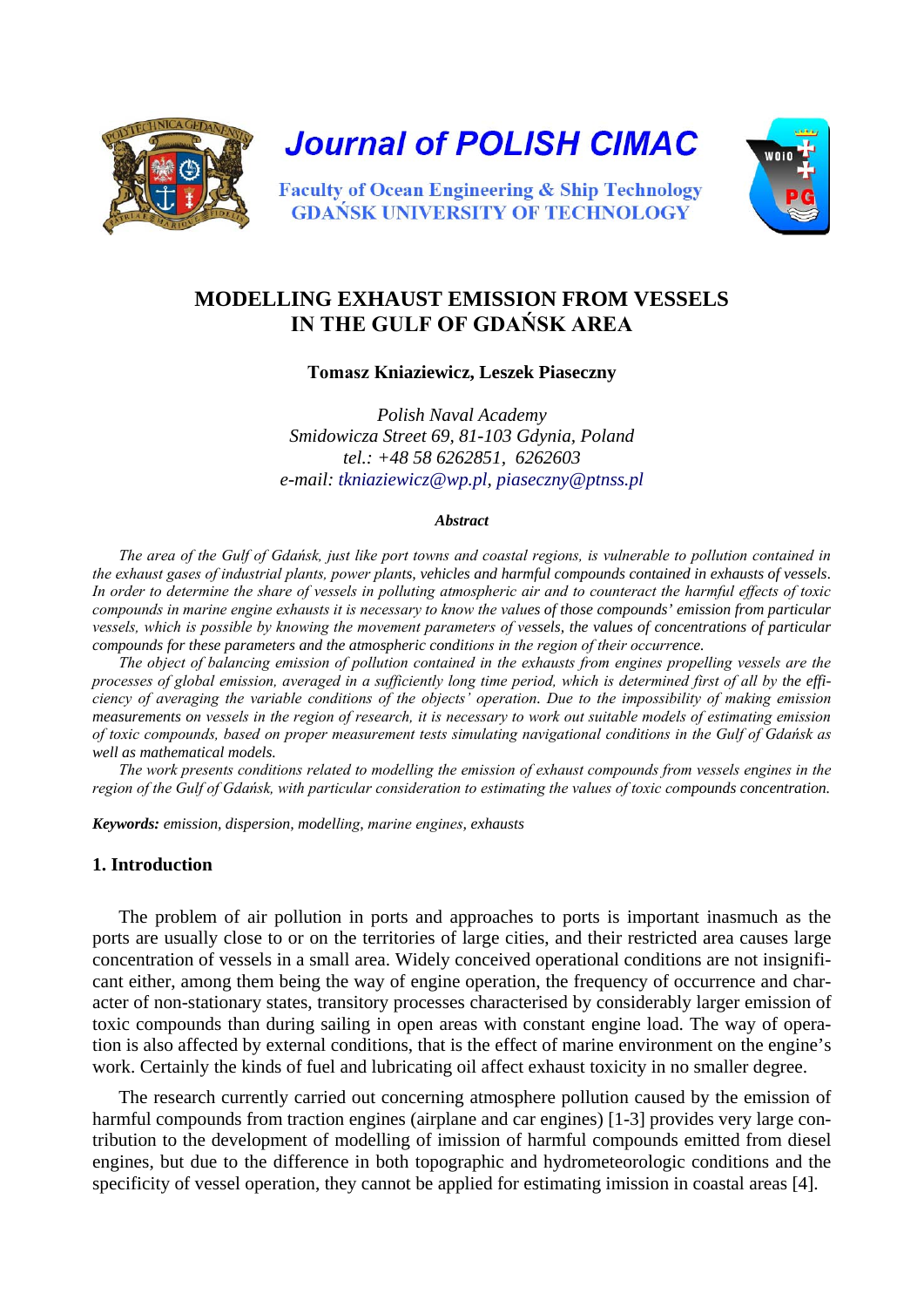

**Journal of POLISH CIMAC** 



**Faculty of Ocean Engineering & Ship Technology GDANSK UNIVERSITY OF TECHNOLOGY** 

# **MODELLING EXHAUST EMISSION FROM VESSELS IN THE GULF OF GDAŃSK AREA**

**Tomasz Kniaziewicz, Leszek Piaseczny**

*Polish Naval Academy Smidowicza Street 69, 81-103 Gdynia, Poland tel.: +48 58 6262851, 6262603 e-mail: [tkniaziewicz@wp.pl,](mailto:tkniaziewicz@wp.pl) [piaseczny@ptnss.pl](mailto:piaseczny@ptnss.pl)*

#### *Abstract*

*The area of the Gulf of Gdańsk, just like port towns and coastal regions, is vulnerable to pollution contained in the exhaust gases of industrial plants, power plants, vehicles and harmful compounds contained in exhausts of vessels. In order to determine the share of vessels in polluting atmospheric air and to counteract the harmful effects of toxic compounds in marine engine exhausts it is necessary to know the values of those compounds' emission from particular vessels, which is possible by knowing the movement parameters of vessels, the values of concentrations of particular compounds for these parameters and the atmospheric conditions in the region of their occurrence.* 

*The object of balancing emission of pollution contained in the exhausts from engines propelling vessels are the processes of global emission, averaged in a sufficiently long time period, which is determined first of all by the efficiency of averaging the variable conditions of the objects' operation. Due to the impossibility of making emission measurements on vessels in the region of research, it is necessary to work out suitable models of estimating emission of toxic compounds, based on proper measurement tests simulating navigational conditions in the Gulf of Gdańsk as well as mathematical models.* 

*The work presents conditions related to modelling the emission of exhaust compounds from vessels engines in the region of the Gulf of Gdańsk, with particular consideration to estimating the values of toxic compounds concentration.* 

*Keywords: emission, dispersion, modelling, marine engines, exhausts* 

## **1. Introduction**

The problem of air pollution in ports and approaches to ports is important inasmuch as the ports are usually close to or on the territories of large cities, and their restricted area causes large concentration of vessels in a small area. Widely conceived operational conditions are not insignificant either, among them being the way of engine operation, the frequency of occurrence and character of non-stationary states, transitory processes characterised by considerably larger emission of toxic compounds than during sailing in open areas with constant engine load. The way of operation is also affected by external conditions, that is the effect of marine environment on the engine's work. Certainly the kinds of fuel and lubricating oil affect exhaust toxicity in no smaller degree.

The research currently carried out concerning atmosphere pollution caused by the emission of harmful compounds from traction engines (airplane and car engines) [1-3] provides very large contribution to the development of modelling of imission of harmful compounds emitted from diesel engines, but due to the difference in both topographic and hydrometeorologic conditions and the specificity of vessel operation, they cannot be applied for estimating imission in coastal areas [4].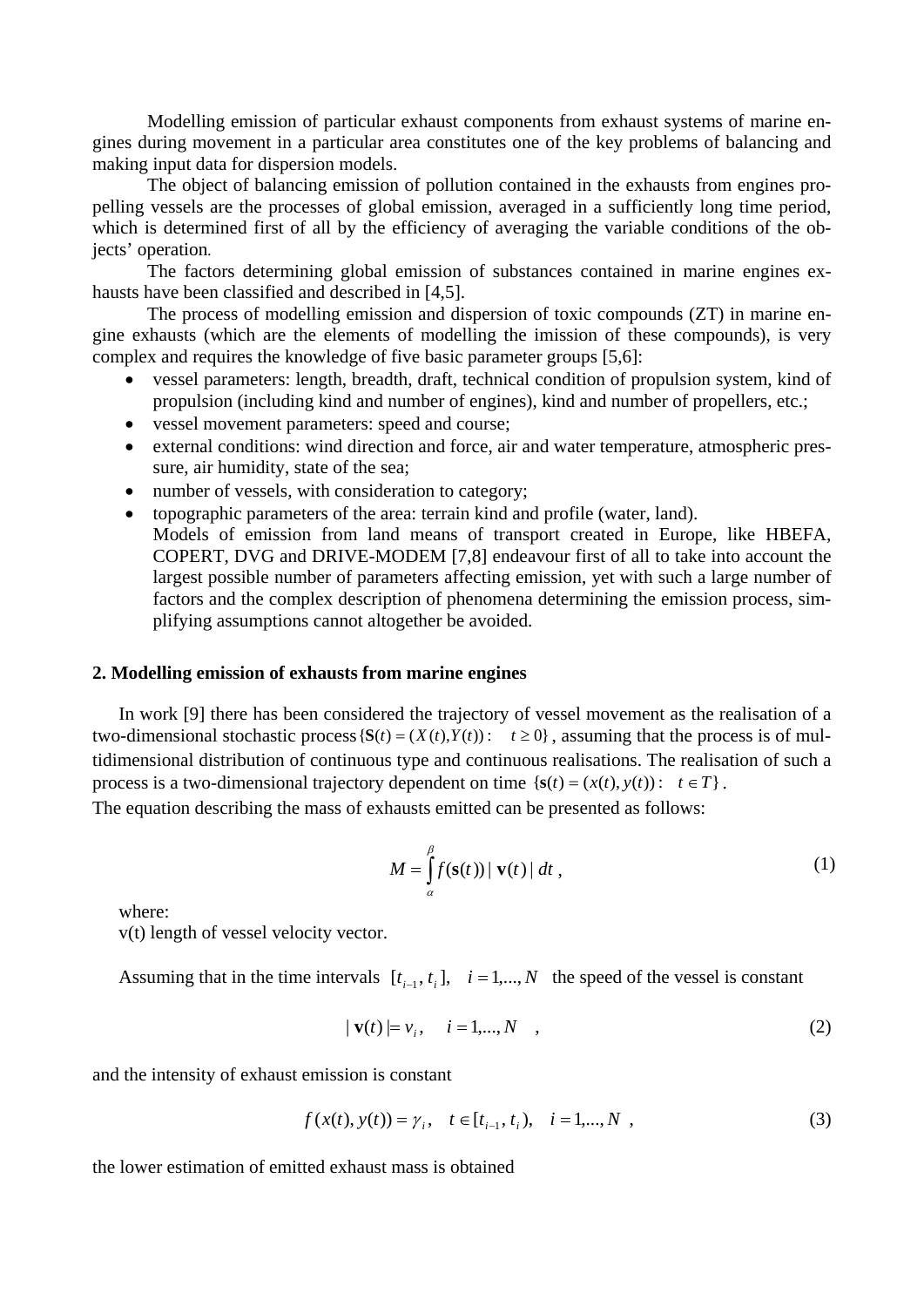Modelling emission of particular exhaust components from exhaust systems of marine engines during movement in a particular area constitutes one of the key problems of balancing and making input data for dispersion models.

The object of balancing emission of pollution contained in the exhausts from engines propelling vessels are the processes of global emission, averaged in a sufficiently long time period, which is determined first of all by the efficiency of averaging the variable conditions of the objects' operation*.*

The factors determining global emission of substances contained in marine engines exhausts have been classified and described in [4,5].

The process of modelling emission and dispersion of toxic compounds (ZT) in marine engine exhausts (which are the elements of modelling the imission of these compounds), is very complex and requires the knowledge of five basic parameter groups [5,6]:

- vessel parameters: length, breadth, draft, technical condition of propulsion system, kind of propulsion (including kind and number of engines), kind and number of propellers, etc.;
- vessel movement parameters: speed and course;
- external conditions: wind direction and force, air and water temperature, atmospheric pressure, air humidity, state of the sea;
- number of vessels, with consideration to category;
- topographic parameters of the area: terrain kind and profile (water, land).
- Models of emission from land means of transport created in Europe, like HBEFA, COPERT, DVG and DRIVE-MODEM [7,8] endeavour first of all to take into account the largest possible number of parameters affecting emission, yet with such a large number of factors and the complex description of phenomena determining the emission process, simplifying assumptions cannot altogether be avoided.

## **2. Modelling emission of exhausts from marine engines**

In work [9] there has been considered the trajectory of vessel movement as the realisation of a two-dimensional stochastic process  $\{S(t) = (X(t), Y(t)) : t \ge 0\}$ , assuming that the process is of multidimensional distribution of continuous type and continuous realisations. The realisation of such a process is a two-dimensional trajectory dependent on time  $\{s(t) = (x(t), y(t)) : t \in T\}$ .

The equation describing the mass of exhausts emitted can be presented as follows:

$$
M = \int_{\alpha}^{\beta} f(\mathbf{s}(t)) | \mathbf{v}(t) | dt,
$$
 (1)

where:

v(t) length of vessel velocity vector.

Assuming that in the time intervals  $[t_{i-1}, t_i]$ ,  $i = 1,...,N$  the speed of the vessel is constant

$$
|\mathbf{v}(t)| = v_i, \quad i = 1,...,N \quad , \tag{2}
$$

and the intensity of exhaust emission is constant

$$
f(x(t), y(t)) = \gamma_i, \quad t \in [t_{i-1}, t_i), \quad i = 1, ..., N \tag{3}
$$

the lower estimation of emitted exhaust mass is obtained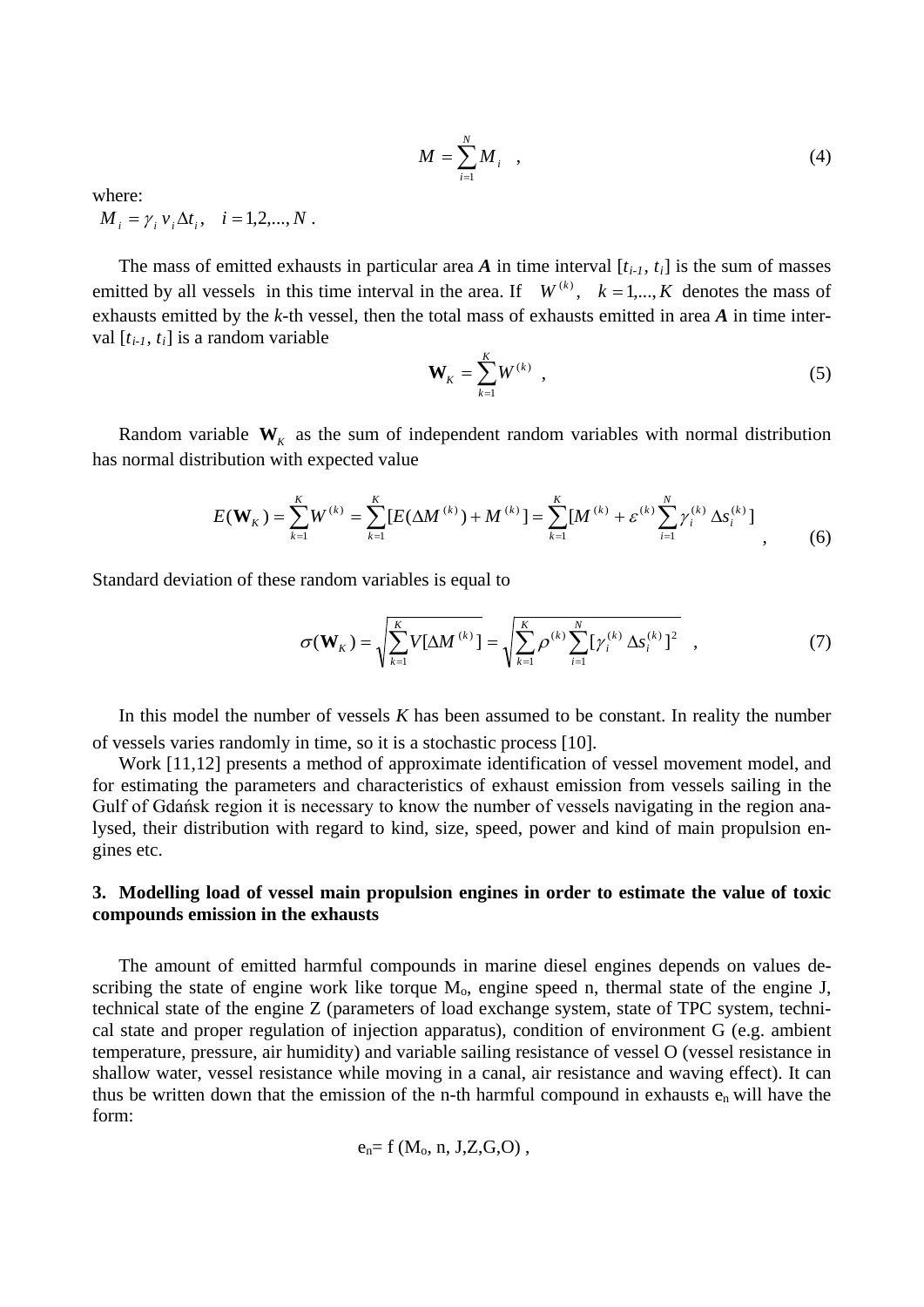$$
M = \sum_{i=1}^{N} M_i \quad , \tag{4}
$$

where:

 $M_i = \gamma_i v_i \Delta t_i, \quad i = 1, 2, ..., N$ .

The mass of emitted exhausts in particular area  $A$  in time interval  $[t_{i-1}, t_i]$  is the sum of masses emitted by all vessels in this time interval in the area. If  $W^{(k)}$ ,  $k = 1,...,K$  denotes the mass of exhausts emitted by the *k-*th vessel, then the total mass of exhausts emitted in area *A* in time interval [*ti-1, ti* ] is a random variable

$$
\mathbf{W}_K = \sum_{k=1}^K W^{(k)} \quad , \tag{5}
$$

Random variable  $W_k$  as the sum of independent random variables with normal distribution has normal distribution with expected value

$$
E(\mathbf{W}_K) = \sum_{k=1}^K W^{(k)} = \sum_{k=1}^K [E(\Delta M^{(k)}) + M^{(k)}] = \sum_{k=1}^K [M^{(k)} + \varepsilon^{(k)} \sum_{i=1}^N \gamma_i^{(k)} \Delta s_i^{(k)}],
$$
(6)

Standard deviation of these random variables is equal to

$$
\sigma(\mathbf{W}_K) = \sqrt{\sum_{k=1}^K V[\Delta M^{(k)}]} = \sqrt{\sum_{k=1}^K \rho^{(k)} \sum_{i=1}^N [\gamma_i^{(k)} \Delta s_i^{(k)}]^2}, \qquad (7)
$$

In this model the number of vessels *K* has been assumed to be constant. In reality the number of vessels varies randomly in time, so it is a stochastic process [10].

Work [11,12] presents a method of approximate identification of vessel movement model, and for estimating the parameters and characteristics of exhaust emission from vessels sailing in the Gulf of Gdańsk region it is necessary to know the number of vessels navigating in the region analysed, their distribution with regard to kind, size, speed, power and kind of main propulsion engines etc.

### **3. Modelling load of vessel main propulsion engines in order to estimate the value of toxic compounds emission in the exhausts**

The amount of emitted harmful compounds in marine diesel engines depends on values describing the state of engine work like torque  $M<sub>o</sub>$ , engine speed n, thermal state of the engine J, technical state of the engine Z (parameters of load exchange system, state of TPC system, technical state and proper regulation of injection apparatus), condition of environment G (e.g. ambient temperature, pressure, air humidity) and variable sailing resistance of vessel O (vessel resistance in shallow water, vessel resistance while moving in a canal, air resistance and waving effect). It can thus be written down that the emission of the n-th harmful compound in exhausts  $e_n$  will have the form:

$$
e_n = f(M_0, n, J, Z, G, O),
$$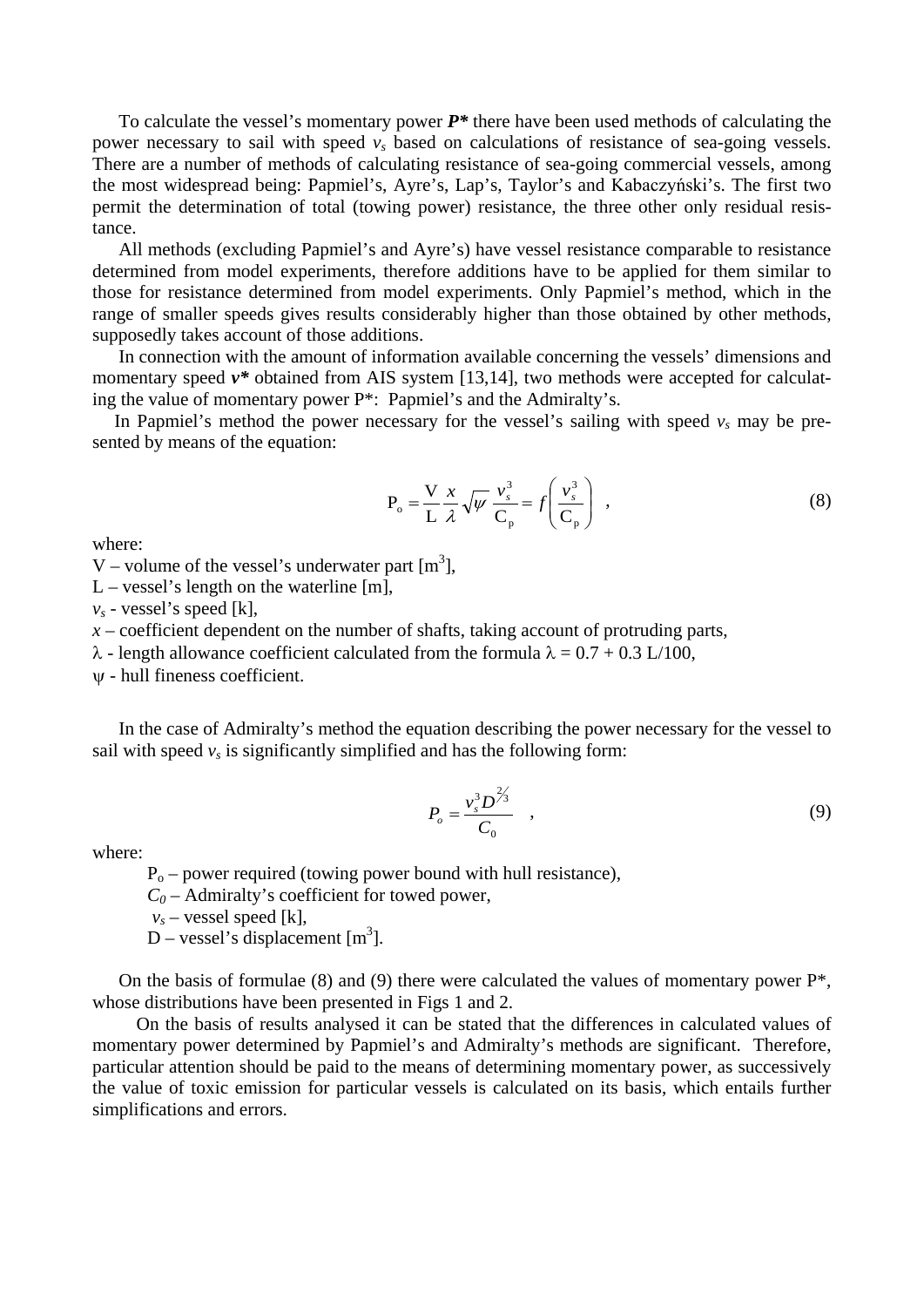To calculate the vessel's momentary power *P\** there have been used methods of calculating the power necessary to sail with speed  $v_s$  based on calculations of resistance of sea-going vessels. There are a number of methods of calculating resistance of sea-going commercial vessels, among the most widespread being: Papmiel's, Ayre's, Lap's, Taylor's and Kabaczyński's. The first two permit the determination of total (towing power) resistance, the three other only residual resistance.

All methods (excluding Papmiel's and Ayre's) have vessel resistance comparable to resistance determined from model experiments, therefore additions have to be applied for them similar to those for resistance determined from model experiments. Only Papmiel's method, which in the range of smaller speeds gives results considerably higher than those obtained by other methods, supposedly takes account of those additions.

In connection with the amount of information available concerning the vessels' dimensions and momentary speed  $v^*$  obtained from AIS system [13,14], two methods were accepted for calculating the value of momentary power P\*: Papmiel's and the Admiralty's.

In Papmiel's method the power necessary for the vessel's sailing with speed  $v_s$  may be presented by means of the equation:

$$
P_o = \frac{V}{L} \frac{x}{\lambda} \sqrt{\psi} \frac{v_s^3}{C_p} = f \left(\frac{v_s^3}{C_p}\right) ,
$$
 (8)

where:

V – volume of the vessel's underwater part  $[m^3]$ ,

L – vessel's length on the waterline  $[m]$ ,

 $v_s$  - vessel's speed [k],

 $x$  – coefficient dependent on the number of shafts, taking account of protruding parts,

 $λ$  - length allowance coefficient calculated from the formula  $λ = 0.7 + 0.3$  L/100,

ψ - hull fineness coefficient.

In the case of Admiralty's method the equation describing the power necessary for the vessel to sail with speed  $v_s$  is significantly simplified and has the following form:

$$
P_o = \frac{v_s^3 D^{2/3}}{C_0} \quad , \tag{9}
$$

where:

 $P_0$  – power required (towing power bound with hull resistance),

 $C_0$  – Admiralty's coefficient for towed power,

 $v_s$  – vessel speed [k],

D – vessel's displacement  $[m<sup>3</sup>]$ .

On the basis of formulae (8) and (9) there were calculated the values of momentary power  $P^*$ , whose distributions have been presented in Figs 1 and 2.

On the basis of results analysed it can be stated that the differences in calculated values of momentary power determined by Papmiel's and Admiralty's methods are significant. Therefore, particular attention should be paid to the means of determining momentary power, as successively the value of toxic emission for particular vessels is calculated on its basis, which entails further simplifications and errors.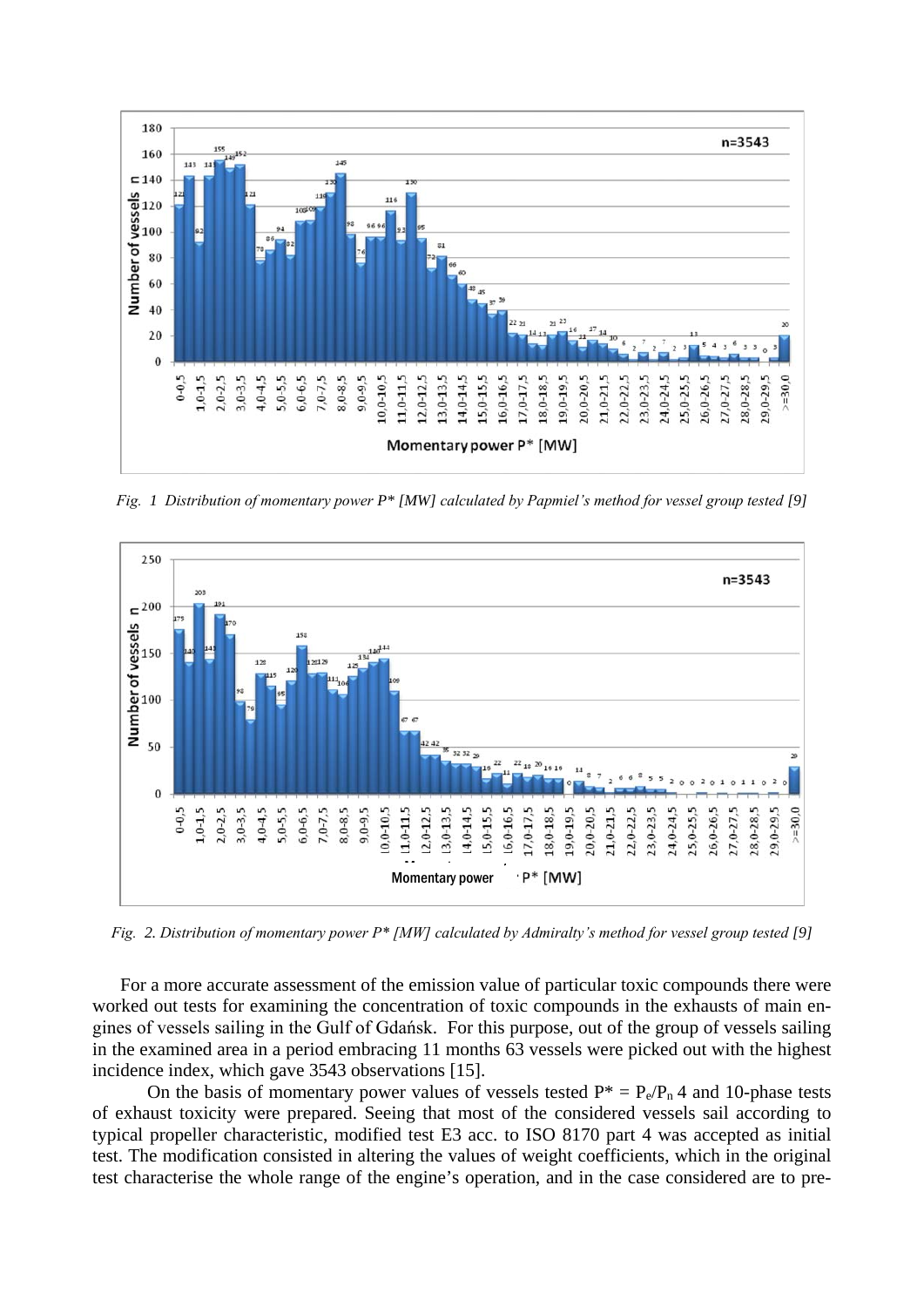

*Fig. 1 Distribution of momentary power P\* [MW] calculated by Papmiel's method for vessel group tested [9]*



*Fig. 2. Distribution of momentary power P\* [MW] calculated by Admiralty's method for vessel group tested [9]*

For a more accurate assessment of the emission value of particular toxic compounds there were worked out tests for examining the concentration of toxic compounds in the exhausts of main engines of vessels sailing in the Gulf of Gdańsk. For this purpose, out of the group of vessels sailing in the examined area in a period embracing 11 months 63 vessels were picked out with the highest incidence index, which gave 3543 observations [15].

On the basis of momentary power values of vessels tested  $P^* = P_e/P_n 4$  and 10-phase tests of exhaust toxicity were prepared. Seeing that most of the considered vessels sail according to typical propeller characteristic, modified test E3 acc. to ISO 8170 part 4 was accepted as initial test. The modification consisted in altering the values of weight coefficients, which in the original test characterise the whole range of the engine's operation, and in the case considered are to pre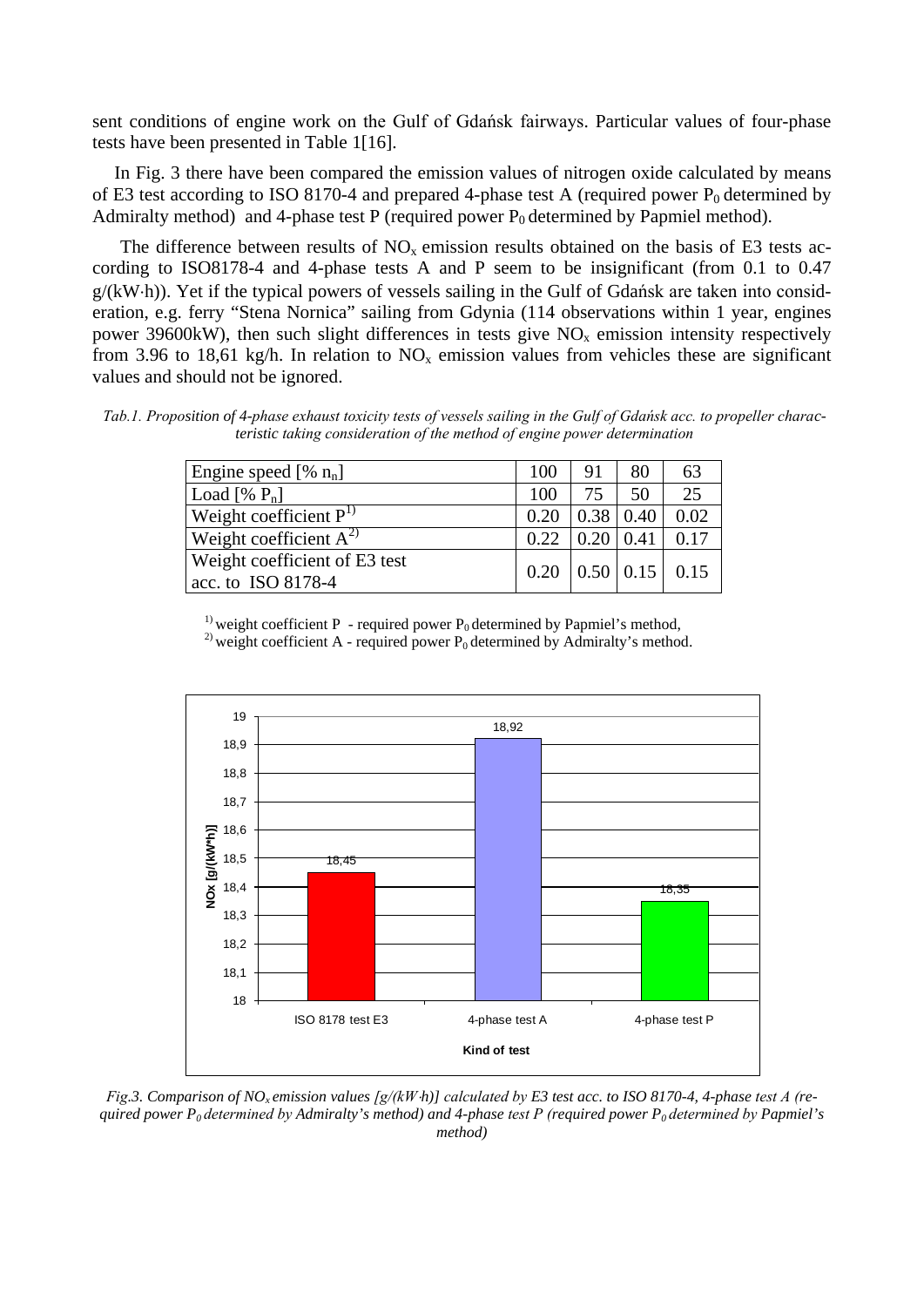sent conditions of engine work on the Gulf of Gdańsk fairways. Particular values of four-phase tests have been presented in Table 1[16].

In Fig. 3 there have been compared the emission values of nitrogen oxide calculated by means of E3 test according to ISO 8170-4 and prepared 4-phase test A (required power  $P_0$  determined by Admiralty method) and 4-phase test P (required power  $P_0$  determined by Papmiel method).

The difference between results of  $NO<sub>x</sub>$  emission results obtained on the basis of E3 tests according to ISO8178-4 and 4-phase tests A and P seem to be insignificant (from 0.1 to 0.47 g/(kW⋅h)). Yet if the typical powers of vessels sailing in the Gulf of Gdańsk are taken into consideration, e.g. ferry "Stena Nornica" sailing from Gdynia (114 observations within 1 year, engines power 39600kW), then such slight differences in tests give  $NO<sub>x</sub>$  emission intensity respectively from 3.96 to 18,61 kg/h. In relation to  $NO<sub>x</sub>$  emission values from vehicles these are significant values and should not be ignored.

*Tab.1. Proposition of 4-phase exhaust toxicity tests of vessels sailing in the Gulf of Gdańsk acc. to propeller characteristic taking consideration of the method of engine power determination*

| Engine speed [% $n_n$ ]                                    | 100  | 91                  | 80 | 63   |
|------------------------------------------------------------|------|---------------------|----|------|
| Load [% $P_n$ ]                                            | 100  | 75                  | 50 | 25   |
| Weight coefficient $P^{1}$                                 | 0.20 | $0.38 \mid 0.40$    |    | 0.02 |
| Weight coefficient $A^{2}$                                 | 0.22 | $0.20 \mid 0.41$    |    | 0.17 |
| <b>Weight coefficient of E3 test</b><br>acc. to ISO 8178-4 | 0.20 | $0.50 \,   \, 0.15$ |    | 0.15 |

<sup>1)</sup> weight coefficient P - required power  $P_0$  determined by Papmiel's method, <sup>2)</sup> weight coefficient A - required power  $P_0$  determined by Admiralty's method.



*Fig.3. Comparison of NO<sub>x</sub> emission values*  $[g/(kWh)]$  *calculated by E3 test acc. to ISO 8170-4, 4-phase test A (required power P0 determined by Admiralty's method) and 4-phase test P (required power P0 determined by Papmiel's method)*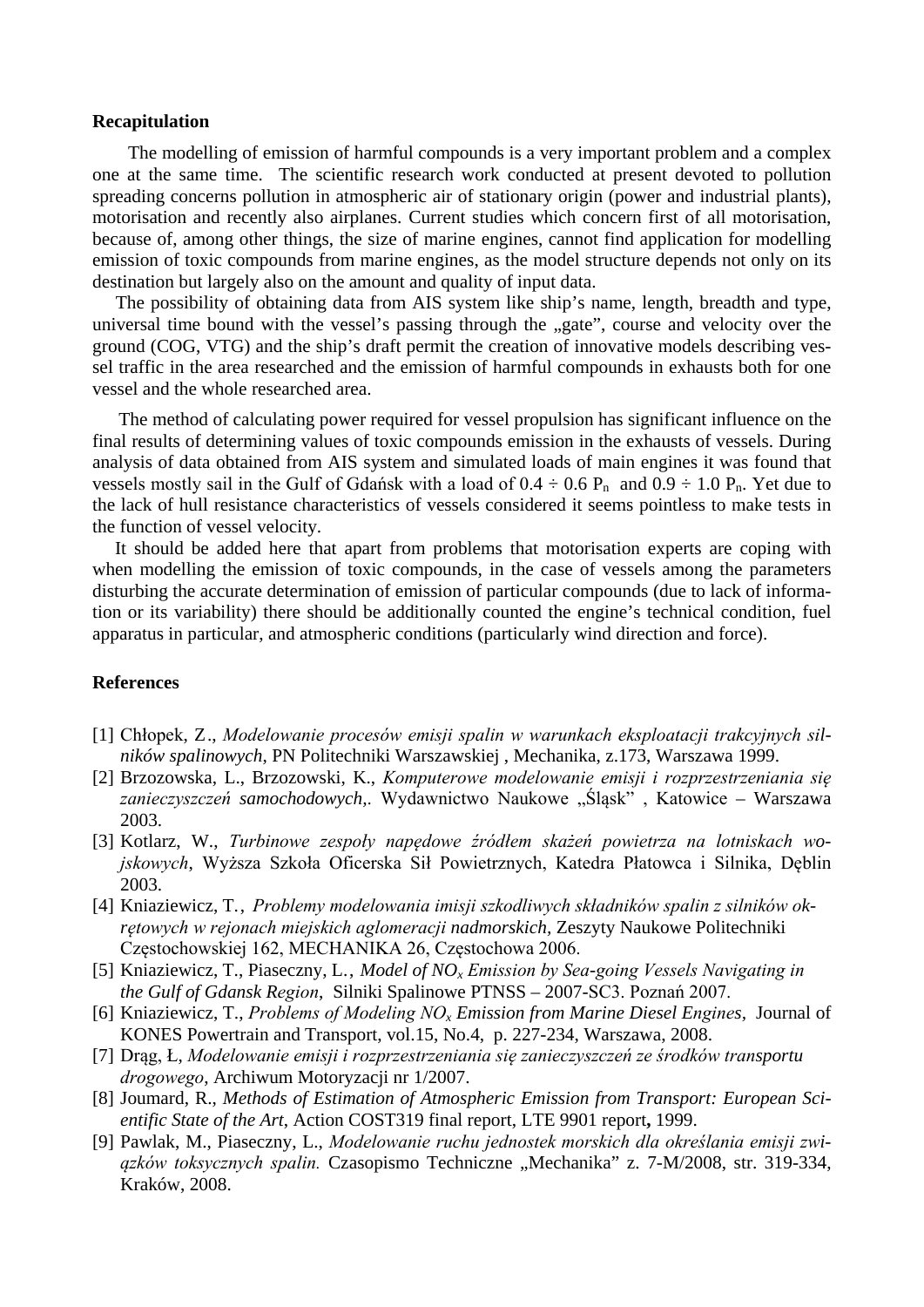#### **Recapitulation**

 The modelling of emission of harmful compounds is a very important problem and a complex one at the same time. The scientific research work conducted at present devoted to pollution spreading concerns pollution in atmospheric air of stationary origin (power and industrial plants), motorisation and recently also airplanes. Current studies which concern first of all motorisation, because of, among other things, the size of marine engines, cannot find application for modelling emission of toxic compounds from marine engines, as the model structure depends not only on its destination but largely also on the amount and quality of input data.

 The possibility of obtaining data from AIS system like ship's name, length, breadth and type, universal time bound with the vessel's passing through the "gate", course and velocity over the ground (COG, VTG) and the ship's draft permit the creation of innovative models describing vessel traffic in the area researched and the emission of harmful compounds in exhausts both for one vessel and the whole researched area.

The method of calculating power required for vessel propulsion has significant influence on the final results of determining values of toxic compounds emission in the exhausts of vessels. During analysis of data obtained from AIS system and simulated loads of main engines it was found that vessels mostly sail in the Gulf of Gdańsk with a load of  $0.4 \div 0.6$  P<sub>n</sub> and  $0.9 \div 1.0$  P<sub>n</sub>. Yet due to the lack of hull resistance characteristics of vessels considered it seems pointless to make tests in the function of vessel velocity.

 It should be added here that apart from problems that motorisation experts are coping with when modelling the emission of toxic compounds, in the case of vessels among the parameters disturbing the accurate determination of emission of particular compounds (due to lack of information or its variability) there should be additionally counted the engine's technical condition, fuel apparatus in particular, and atmospheric conditions (particularly wind direction and force).

#### **References**

- [1] Chłopek, Z., *Modelowanie procesów emisji spalin w warunkach eksploatacji trakcyjnych silników spalinowych*, PN Politechniki Warszawskiej , Mechanika, z.173, Warszawa 1999.
- [2] Brzozowska, L., Brzozowski, K., *Komputerowe modelowanie emisji i rozprzestrzeniania się zanieczyszczeń samochodowych,*. Wydawnictwo Naukowe "Śląsk" , Katowice – Warszawa 2003.
- [3] Kotlarz, W., *Turbinowe zespoły napędowe źródłem skażeń powietrza na lotniskach wojskowych*, Wyższa Szkoła Oficerska Sił Powietrznych, Katedra Płatowca i Silnika, Dęblin 2003.
- [4] Kniaziewicz, T., *Problemy modelowania imisji szkodliwych składników spalin z silników okrętowych w rejonach miejskich aglomeracji nadmorskich,* Zeszyty Naukowe Politechniki Częstochowskiej 162, MECHANIKA 26, Częstochowa 2006.
- [5] Kniaziewicz, T., Piaseczny, L., *Model of NOx Emission by Sea-going Vessels Navigating in the Gulf of Gdansk Region*, Silniki Spalinowe PTNSS – 2007-SC3. Poznań 2007.
- [6] Kniaziewicz, T., *Problems of Modeling NO<sup>x</sup> Emission from Marine Diesel Engines,* Journal of KONES Powertrain and Transport, vol.15, No.4, p. 227-234, Warszawa, 2008.
- [7] Drąg, Ł, *Modelowanie emisji i rozprzestrzeniania się zanieczyszczeń ze środków transportu drogowego*, Archiwum Motoryzacji nr 1/2007.
- [8] Joumard, R., *Methods of Estimation of Atmospheric Emission from Transport: European Scientific State of the Art*, Action COST319 final report, LTE 9901 report**,** 1999.
- [9] Pawlak, M., Piaseczny, L., *Modelowanie ruchu jednostek morskich dla określania emisji związków toksycznych spalin.* Czasopismo Techniczne "Mechanika" z. 7-M/2008, str. 319-334, Kraków, 2008.